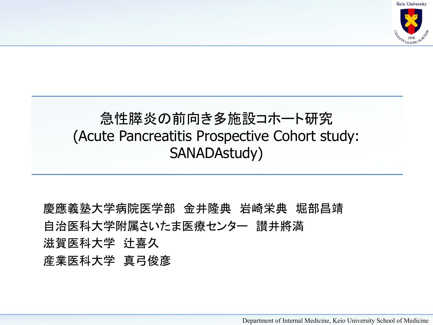**Keio University** 



#### 急性膵炎の前向き多施設コホート研究 (Acute Pancreatitis Prospective Cohort study: SANADAstudy)

慶應義塾大学病院医学部 金井隆典 岩崎栄典 堀部昌靖 自治医科大学附属さいたま医療センター 讃井將満 滋賀医科大学 辻喜久 産業医科大学 真弓俊彦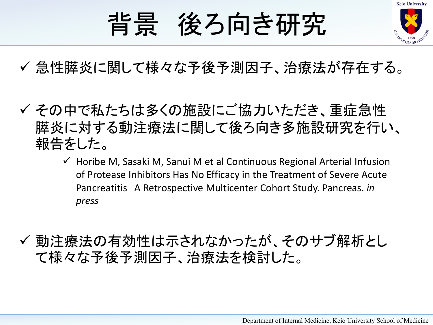

# 背景 後ろ向き研究

- √ 急性膵炎に関して様々な予後予測因子、治療法が存在する。
- ✔ その中で私たちは多くの施設にご協力いただき、重症急性 膵炎に対する動注療法に関して後ろ向き多施設研究を行い、 報告をした。
	- $\checkmark$  Horibe M, Sasaki M, Sanui M et al Continuous Regional Arterial Infusion of Protease Inhibitors Has No Efficacy in the Treatment of Severe Acute Pancreatitis A Retrospective Multicenter Cohort Study. Pancreas. *in press*
- ✔ 動注療法の有効性は示されなかったが、そのサブ解析とし て様々な予後予測因子、治療法を検討した。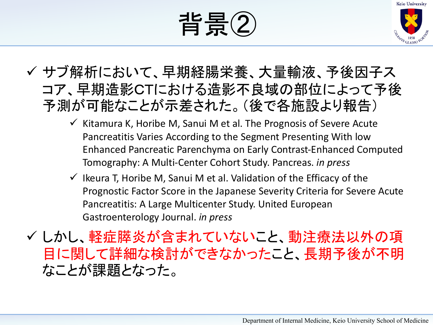



#### ✓ サブ解析において、早期経腸栄養、大量輸液、予後因子ス コア、早期造影CTにおける造影不良域の部位によって予後 予測が可能なことが示差された。(後で各施設より報告)

- $\checkmark$  Kitamura K, Horibe M, Sanui M et al. The Prognosis of Severe Acute Pancreatitis Varies According to the Segment Presenting With low Enhanced Pancreatic Parenchyma on Early Contrast-Enhanced Computed Tomography: A Multi-Center Cohort Study. Pancreas. *in press*
- $\checkmark$  Ikeura T, Horibe M, Sanui M et al. Validation of the Efficacy of the Prognostic Factor Score in the Japanese Severity Criteria for Severe Acute Pancreatitis: A Large Multicenter Study. United European Gastroenterology Journal. *in press*

✓ しかし、軽症膵炎が含まれていないこと、動注療法以外の項 目に関して詳細な検討ができなかったこと、長期予後が不明 なことが課題となった。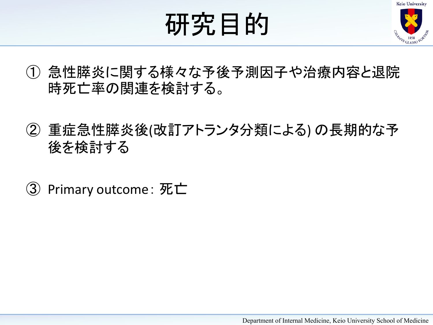

# 研究目的

- ① 急性膵炎に関する様々な予後予測因子や治療内容と退院 時死亡率の関連を検討する。
- ② 重症急性膵炎後(改訂アトランタ分類による) の長期的な予 後を検討する
- ③ Primary outcome :  $\overline{\text{w}}$ 亡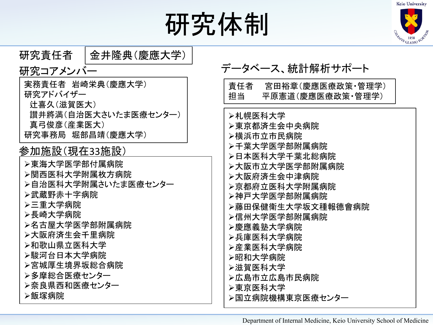

# 研究体制

![](_page_4_Picture_2.jpeg)

| 研究責任者<br>金井隆典(慶應大学)               |                                 |
|-----------------------------------|---------------------------------|
| 研究コアメンバー                          | データベース、統計解析サポート                 |
| 実務責任者 岩崎栄典(慶應大学)                  | 責任者<br>宮田裕章(慶應医療政策・管理学)         |
| 研究アドバイザー                          | 担当<br>平原憲道(慶應医療政策・管理学)          |
| 辻喜久(滋賀医大)<br>讃井將満(自治医大さいたま医療センター) | ➢札幌医科大学                         |
| 真弓俊彦(産業医大)                        | ➢東京都済生会中央病院                     |
| 研究事務局 堀部昌靖(慶應大学)                  | ➢横浜市立市民病院                       |
| 参加施設(現在33施設)                      | ▶千葉大学医学部附属病院                    |
| ➢東海大学医学部付属病院                      | ➢日本医科大学千葉北総病院<br>▶大阪市立大学医学部附属病院 |
| ➢関西医科大学附属枚方病院                     | ➢大阪府済生会中津病院                     |
| >自治医科大学附属さいたま医療センター               | ➢京都府立医科大学附属病院                   |
| ➢武蔵野赤十字病院                         | ➢神戸大学医学部附属病院                    |
| ➢三重大学病院<br>➢長崎大学病院                | ➢藤田保健衛生大学坂文種報德會病院               |
| ➢名古屋大学医学部附属病院                     | ➢信州大学医学部附属病院<br>➢慶應義塾大学病院       |
| ➢大阪府済生会千里病院                       | ➢兵庫医科大学病院                       |
| ▷和歌山県立医科大学                        | ➢産業医科大学病院                       |
| ➢駿河台日本大学病院<br>➢宮城厚生境界坂総合病院        | ▷昭和大学病院                         |
| ▷多摩総合医療センター                       | ➢滋賀医科大学<br>➢広島市立広島市民病院          |
| >奈良県西和医療センター                      | ▷東京医科大学                         |
| ➢飯塚病院                             | >国立病院機構東京医療センター                 |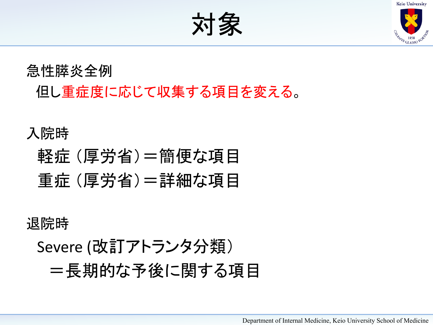![](_page_5_Picture_0.jpeg)

**EAMAS 1858** 

対象

急性膵炎全例 但し重症度に応じて収集する項目を変える。

#### 入院時

## 軽症 (厚労省)=簡便な項目 重症 (厚労省)=詳細な項目

退院時

Severe (改訂アトランタ分類) =長期的な予後に関する項目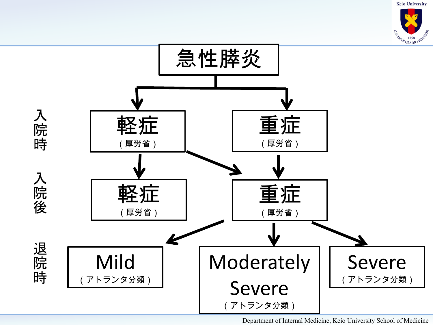**Keio University** 

![](_page_6_Picture_1.jpeg)

![](_page_6_Figure_2.jpeg)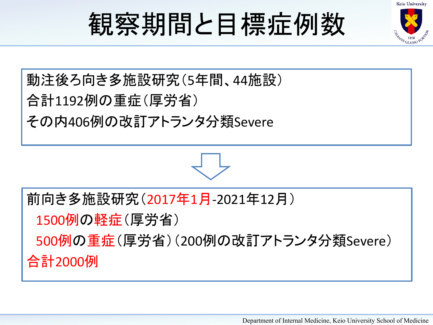![](_page_7_Picture_0.jpeg)

![](_page_7_Picture_1.jpeg)

### 動注後ろ向き多施設研究(5年間、44施設) 合計1192例の重症(厚労省) その内406例の改訂アトランタ分類Severe

前向き多施設研究(2017年1月-2021年12月)

1500例の軽症(厚労省)

500例の重症(厚労省)(200例の改訂アトランタ分類Severe)

合計2000例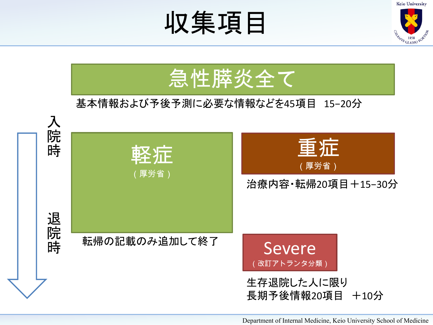![](_page_8_Picture_0.jpeg)

![](_page_8_Picture_1.jpeg)

![](_page_8_Figure_2.jpeg)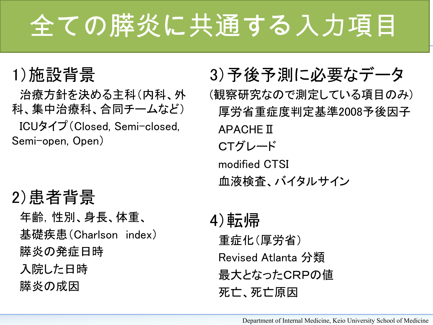# 全ての膵炎に共通する入力項目

### 1)施設背景

治療方針を決める主科(内科、外 科、集中治療科、合同チームなど) ICUタイプ (Closed, Semi-closed, Semi-open, Open)

### 2)患者背景

年齢,性別、身長、体重、 基礎疾患(Charlson index) 膵炎の発症日時 入院した日時 膵炎の成因

3)予後予測に必要なデータ (観察研究なので測定している項目のみ) 厚労省重症度判定基準2008予後因子 APACHEⅡ CTグレード modified CTSI 血液検査、バイタルサイン

4)転帰 重症化(厚労省) Revised Atlanta 分類 最大となったCRPの値 死亡、死亡原因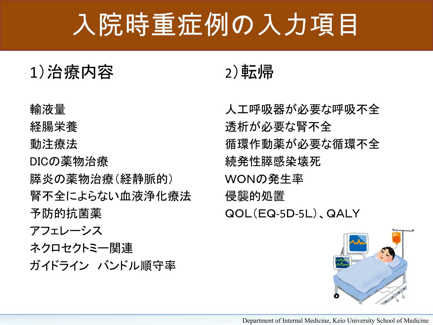## 入院時重症例の入力項目

#### 1)治療内容

輸液量

経腸栄養

動注療法

DICの薬物治療 膵炎の薬物治療(経静脈的) 腎不全によらない血液浄化療法 予防的抗菌薬

アフェレーシス

ネクロセクトミー関連 ガイドライン バンドル順守率

### 2)転帰

人工呼吸器が必要な呼吸不全 透析が必要な腎不全 循環作動薬が必要な循環不全 続発性膵感染壊死 WONの発生率 侵襲的処置 QOL(EQ-5D-5L)、QALY

![](_page_10_Picture_10.jpeg)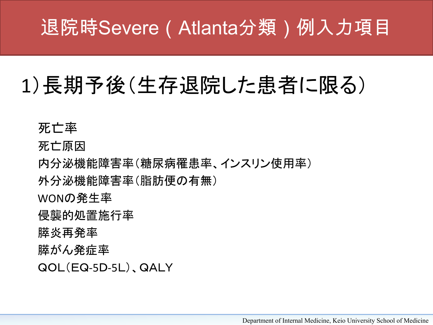### 退院時Severe(Atlanta分類)例入力項目

## 1)長期予後(生存退院した患者に限る)

死亡率

死亡原因

内分泌機能障害率(糖尿病罹患率、インスリン使用率)

外分泌機能障害率(脂肪便の有無)

WONの発生率

侵襲的処置施行率

膵炎再発率

膵がん発症率

QOL(EQ-5D-5L)、QALY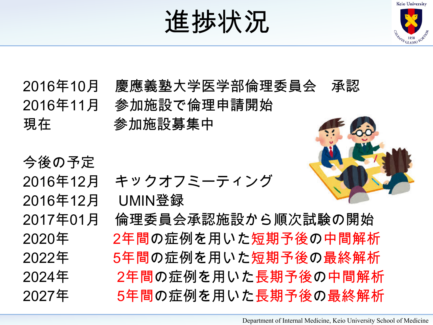![](_page_12_Picture_0.jpeg)

![](_page_12_Picture_1.jpeg)

2016年10月 慶應義塾大学医学部倫理委員会 承認 2016年11月 参加施設で倫理申請開始 現在 参加施設募集中

今後の予定 2016年12月 UMIN登録

2016年12月 キックオフミーティング

2017年01月 倫理委員会承認施設から順次試験の開始 2020年 2年間の症例を用いた短期予後の中間解析 2022年 5年間の症例を用いた短期予後の最終解析 2024年 2年間の症例を用いた長期予後の中間解析 2027年 5年間の症例を用いた長期予後の最終解析

![](_page_12_Picture_6.jpeg)